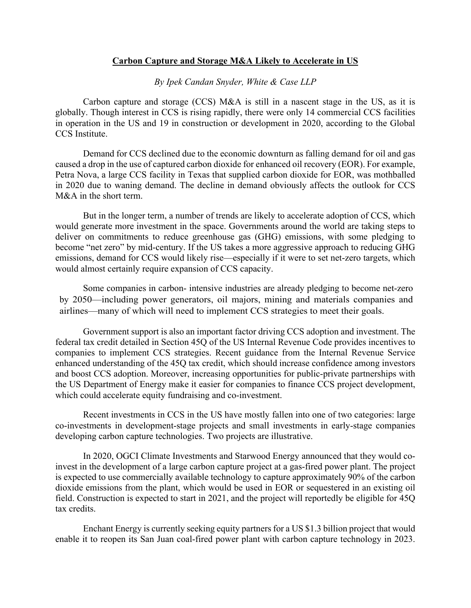## **Carbon Capture and Storage M&A Likely to Accelerate in US**

*By Ipek Candan Snyder, White & Case LLP*

Carbon capture and storage (CCS) M&A is still in a nascent stage in the US, as it is globally. Though interest in CCS is rising rapidly, there were only 14 commercial CCS facilities in operation in the US and 19 in construction or development in 2020, according to the Global CCS Institute.

Demand for CCS declined due to the economic downturn as falling demand for oil and gas caused a drop in the use of captured carbon dioxide for enhanced oil recovery (EOR). For example, Petra Nova, a large CCS facility in Texas that supplied carbon dioxide for EOR, was mothballed in 2020 due to waning demand. The decline in demand obviously affects the outlook for CCS M&A in the short term.

But in the longer term, a number of trends are likely to accelerate adoption of CCS, which would generate more investment in the space. Governments around the world are taking steps to deliver on commitments to reduce greenhouse gas (GHG) emissions, with some pledging to become "net zero" by mid-century. If the US takes a more aggressive approach to reducing GHG emissions, demand for CCS would likely rise—especially if it were to set net-zero targets, which would almost certainly require expansion of CCS capacity.

Some companies in carbon- intensive industries are already pledging to become net-zero by 2050—including power generators, oil majors, mining and materials companies and airlines—many of which will need to implement CCS strategies to meet their goals.

Government support is also an important factor driving CCS adoption and investment. The federal tax credit detailed in Section 45Q of the US Internal Revenue Code provides incentives to companies to implement CCS strategies. Recent guidance from the Internal Revenue Service enhanced understanding of the 45Q tax credit, which should increase confidence among investors and boost CCS adoption. Moreover, increasing opportunities for public-private partnerships with the US Department of Energy make it easier for companies to finance CCS project development, which could accelerate equity fundraising and co-investment.

Recent investments in CCS in the US have mostly fallen into one of two categories: large co-investments in development-stage projects and small investments in early-stage companies developing carbon capture technologies. Two projects are illustrative.

In 2020, OGCI Climate Investments and Starwood Energy announced that they would coinvest in the development of a large carbon capture project at a gas-fired power plant. The project is expected to use commercially available technology to capture approximately 90% of the carbon dioxide emissions from the plant, which would be used in EOR or sequestered in an existing oil field. Construction is expected to start in 2021, and the project will reportedly be eligible for 45Q tax credits.

Enchant Energy is currently seeking equity partners for a US \$1.3 billion project that would enable it to reopen its San Juan coal-fired power plant with carbon capture technology in 2023.